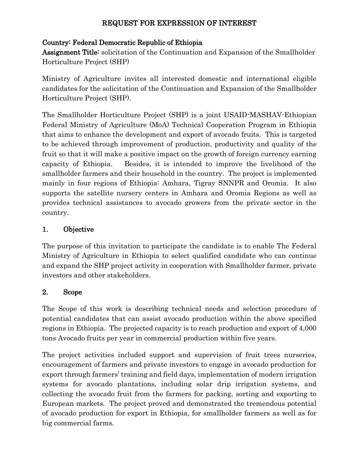### REQUEST FOR EXPRESSION OF INTEREST

### Country: Federal Democratic Republic of Ethiopia

Assignment Title: solicitation of the Continuation and Expansion of the Smallholder Horticulture Project (SHP)

Ministry of Agriculture invites all interested domestic and international eligible candidates for the solicitation of the Continuation and Expansion of the Smallholder Horticulture Project (SHP).

The Smallholder Horticulture Project (SHP) is a joint USAID-MASHAV-Ethiopian Federal Ministry of Agriculture (MoA) Technical Cooperation Program in Ethiopia that aims to enhance the development and export of avocado fruits. This is targeted to be achieved through improvement of production, productivity and quality of the fruit so that it will make a positive impact on the growth of foreign currency earning capacity of Ethiopia. Besides, it is intended to improve the livelihood of the smallholder farmers and their household in the country. The project is implemented mainly in four regions of Ethiopia: Amhara, Tigray SNNPR and Oromia. It also supports the satellite nursery centers in Amhara and Oromia Regions as well as provides technical assistances to avocado growers from the private sector in the country.

# 1. Objective

The purpose of this invitation to participate the candidate is to enable The Federal Ministry of Agriculture in Ethiopia to select qualified candidate who can continue and expand the SHP project activity in cooperation with Smallholder farmer, private investors and other stakeholders.

# 2. Scope

The Scope of this work is describing technical needs and selection procedure of potential candidates that can assist avocado production within the above specified regions in Ethiopia. The projected capacity is to reach production and export of 4,000 tons Avocado fruits per year in commercial production within five years.

The project activities included support and supervision of fruit trees nurseries, encouragement of farmers and private investors to engage in avocado production for export through farmers' training and field days, implementation of modern irrigation systems for avocado plantations, including solar drip irrigation systems, and collecting the avocado fruit from the farmers for packing, sorting and exporting to European markets. The project proved and demonstrated the tremendous potential of avocado production for export in Ethiopia, for smallholder farmers as well as for big commercial farms.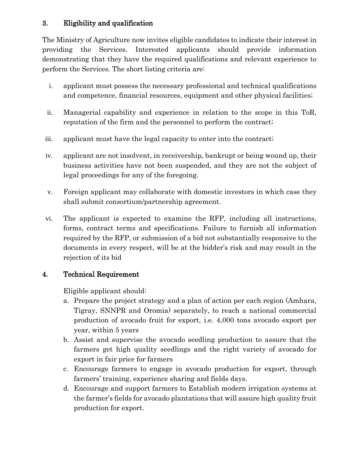# 3. Eligibility and qualification

The Ministry of Agriculture now invites eligible candidates to indicate their interest in providing the Services. Interested applicants should provide information demonstrating that they have the required qualifications and relevant experience to perform the Services. The short listing criteria are:

- i. applicant must possess the necessary professional and technical qualifications and competence, financial resources, equipment and other physical facilities;
- ii. Managerial capability and experience in relation to the scope in this ToR, reputation of the firm and the personnel to perform the contract;
- iii. applicant must have the legal capacity to enter into the contract;
- iv. applicant are not insolvent, in receivership, bankrupt or being wound up, their business activities have not been suspended, and they are not the subject of legal proceedings for any of the foregoing.
- v. Foreign applicant may collaborate with domestic investors in which case they shall submit consortium/partnership agreement.
- vi. The applicant is expected to examine the RFP, including all instructions, forms, contract terms and specifications. Failure to furnish all information required by the RFP, or submission of a bid not substantially responsive to the documents in every respect, will be at the bidder's risk and may result in the rejection of its bid

# 4. Technical Requirement

Eligible applicant should:

- a. Prepare the project strategy and a plan of action per each region (Amhara, Tigray, SNNPR and Oromia) separately, to reach a national commercial production of avocado fruit for export, i.e. 4,000 tons avocado export per year, within 5 years
- b. Assist and supervise the avocado seedling production to assure that the farmers get high quality seedlings and the right variety of avocado for export in fair price for farmers
- c. Encourage farmers to engage in avocado production for export, through farmers' training, experience sharing and fields days.
- d. Encourage and support farmers to Establish modern irrigation systems at the farmer's fields for avocado plantations that will assure high quality fruit production for export.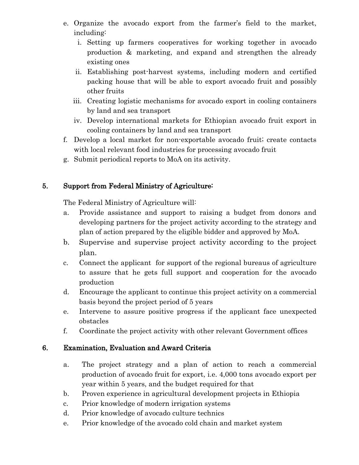- e. Organize the avocado export from the farmer's field to the market, including:
	- i. Setting up farmers cooperatives for working together in avocado production & marketing, and expand and strengthen the already existing ones
	- ii. Establishing post-harvest systems, including modern and certified packing house that will be able to export avocado fruit and possibly other fruits
	- iii. Creating logistic mechanisms for avocado export in cooling containers by land and sea transport
	- iv. Develop international markets for Ethiopian avocado fruit export in cooling containers by land and sea transport
- f. Develop a local market for non-exportable avocado fruit; create contacts with local relevant food industries for processing avocado fruit
- g. Submit periodical reports to MoA on its activity.

### 5. Support from Federal Ministry of Agriculture:

The Federal Ministry of Agriculture will:

- a. Provide assistance and support to raising a budget from donors and developing partners for the project activity according to the strategy and plan of action prepared by the eligible bidder and approved by MoA.
- b. Supervise and supervise project activity according to the project plan.
- c. Connect the applicant for support of the regional bureaus of agriculture to assure that he gets full support and cooperation for the avocado production
- d. Encourage the applicant to continue this project activity on a commercial basis beyond the project period of 5 years
- e. Intervene to assure positive progress if the applicant face unexpected obstacles
- f. Coordinate the project activity with other relevant Government offices

# 6. Examination, Evaluation and Award Criteria

- a. The project strategy and a plan of action to reach a commercial production of avocado fruit for export, i.e. 4,000 tons avocado export per year within 5 years, and the budget required for that
- b. Proven experience in agricultural development projects in Ethiopia
- c. Prior knowledge of modern irrigation systems
- d. Prior knowledge of avocado culture technics
- e. Prior knowledge of the avocado cold chain and market system